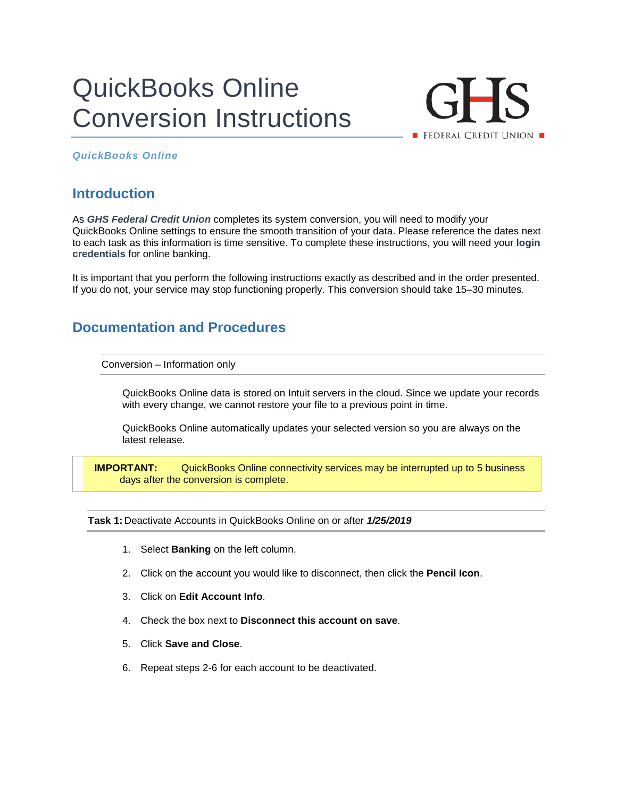# QuickBooks Online Conversion Instructions



## *QuickBooks Online*

## **Introduction**

As *GHS Federal Credit Union* completes its system conversion, you will need to modify your QuickBooks Online settings to ensure the smooth transition of your data. Please reference the dates next to each task as this information is time sensitive. To complete these instructions, you will need your **login credentials** for online banking.

It is important that you perform the following instructions exactly as described and in the order presented. If you do not, your service may stop functioning properly. This conversion should take 15–30 minutes.

## **Documentation and Procedures**

Conversion – Information only

QuickBooks Online data is stored on Intuit servers in the cloud. Since we update your records with every change, we cannot restore your file to a previous point in time.

QuickBooks Online automatically updates your selected version so you are always on the latest release.

**IMPORTANT:** QuickBooks Online connectivity services may be interrupted up to 5 business days after the conversion is complete.

**Task 1:** Deactivate Accounts in QuickBooks Online on or after *1/25/2019*

- 1. Select **Banking** on the left column.
- 2. Click on the account you would like to disconnect, then click the **Pencil Icon**.
- 3. Click on **Edit Account Info**.
- 4. Check the box next to **Disconnect this account on save**.
- 5. Click **Save and Close**.
- 6. Repeat steps 2-6 for each account to be deactivated.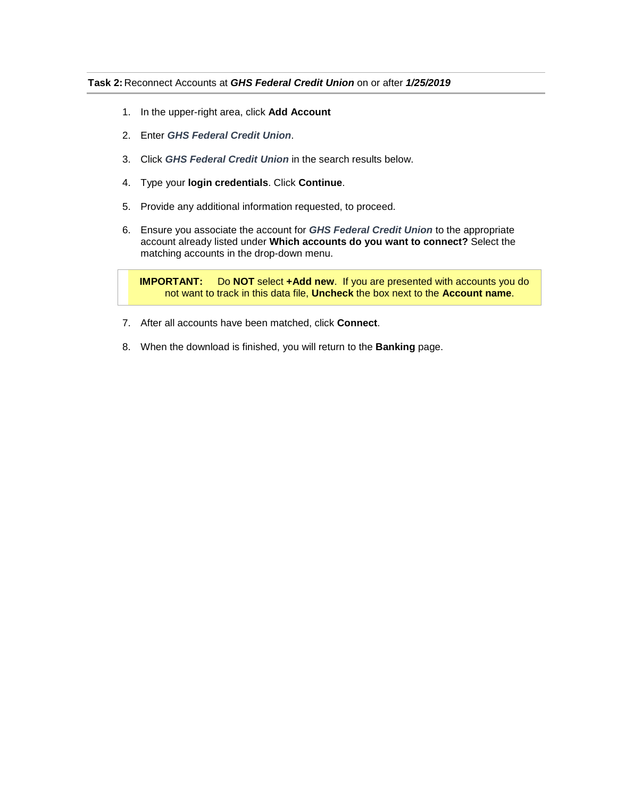### **Task 2:** Reconnect Accounts at *GHS Federal Credit Union* on or after *1/25/2019*

- 1. In the upper-right area, click **Add Account**
- 2. Enter *GHS Federal Credit Union*.
- 3. Click *GHS Federal Credit Union* in the search results below.
- 4. Type your **login credentials**. Click **Continue**.
- 5. Provide any additional information requested, to proceed.
- 6. Ensure you associate the account for *GHS Federal Credit Union* to the appropriate account already listed under **Which accounts do you want to connect?** Select the matching accounts in the drop-down menu.

**IMPORTANT:** Do **NOT** select **+Add new**. If you are presented with accounts you do not want to track in this data file, **Uncheck** the box next to the **Account name**.

- 7. After all accounts have been matched, click **Connect**.
- 8. When the download is finished, you will return to the **Banking** page.